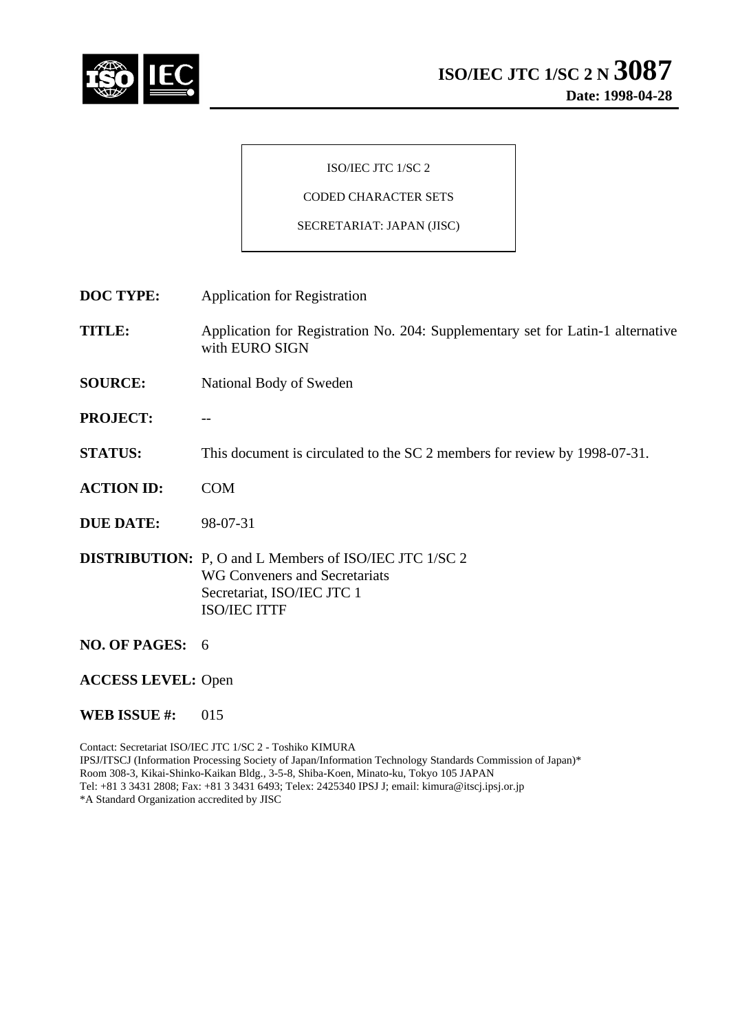

### ISO/IEC JTC 1/SC 2

# CODED CHARACTER SETS

#### SECRETARIAT: JAPAN (JISC)

**DOC TYPE:** Application for Registration

**TITLE:** Application for Registration No. 204: Supplementary set for Latin-1 alternative with EURO SIGN

- **SOURCE:** National Body of Sweden
- PROJECT:
- **STATUS:** This document is circulated to the SC 2 members for review by 1998-07-31.
- **ACTION ID:** COM
- **DUE DATE:** 98-07-31

**DISTRIBUTION:** P, O and L Members of ISO/IEC JTC 1/SC 2 WG Conveners and Secretariats Secretariat, ISO/IEC JTC 1 ISO/IEC ITTF

- **NO. OF PAGES:** 6
- **ACCESS LEVEL:** Open

#### **WEB ISSUE #:** 015

Contact: Secretariat ISO/IEC JTC 1/SC 2 - Toshiko KIMURA IPSJ/ITSCJ (Information Processing Society of Japan/Information Technology Standards Commission of Japan)\* Room 308-3, Kikai-Shinko-Kaikan Bldg., 3-5-8, Shiba-Koen, Minato-ku, Tokyo 105 JAPAN Tel: +81 3 3431 2808; Fax: +81 3 3431 6493; Telex: 2425340 IPSJ J; email: kimura@itscj.ipsj.or.jp \*A Standard Organization accredited by JISC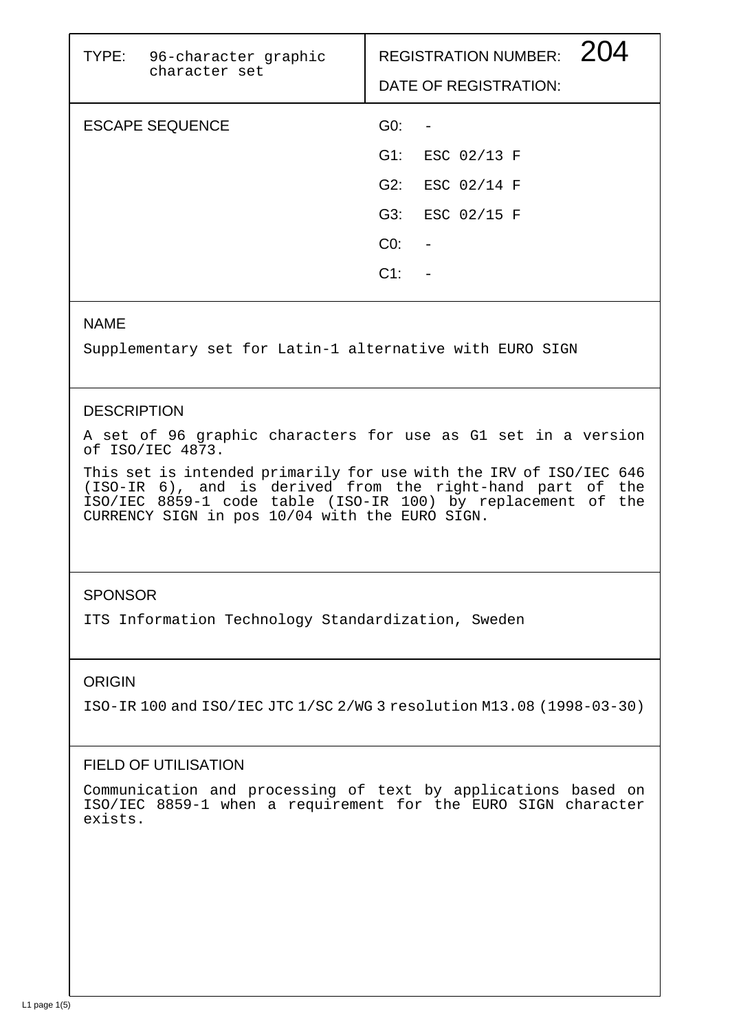| TYPE: 96-character graphic<br>character set |        | <b>REGISTRATION NUMBER:</b><br>DATE OF REGISTRATION: |
|---------------------------------------------|--------|------------------------------------------------------|
| <b>ESCAPE SEQUENCE</b>                      | GO:    |                                                      |
|                                             | G1:    | ESC 02/13 F                                          |
|                                             | G2:    | ESC 02/14 F                                          |
|                                             | G3:    | ESC 02/15 F                                          |
|                                             | CO:    |                                                      |
|                                             | $C1$ : |                                                      |
|                                             |        |                                                      |

### NAME

Supplementary set for Latin-1 alternative with EURO SIGN

## **DESCRIPTION**

A set of 96 graphic characters for use as G1 set in a version of ISO/IEC 4873.

This set is intended primarily for use with the IRV of ISO/IEC 646 (ISO-IR 6), and is derived from the right-hand part of the ISO/IEC 8859-1 code table (ISO-IR 100) by replacement of the CURRENCY SIGN in pos 10/04 with the EURO SIGN.

## **SPONSOR**

ITS Information Technology Standardization, Sweden

## ORIGIN

ISO-IR 100 and ISO/IEC JTC 1/SC 2/WG 3 resolution M13.08 (1998-03-30)

# FIELD OF UTILISATION

Communication and processing of text by applications based on ISO/IEC 8859-1 when a requirement for the EURO SIGN character exists.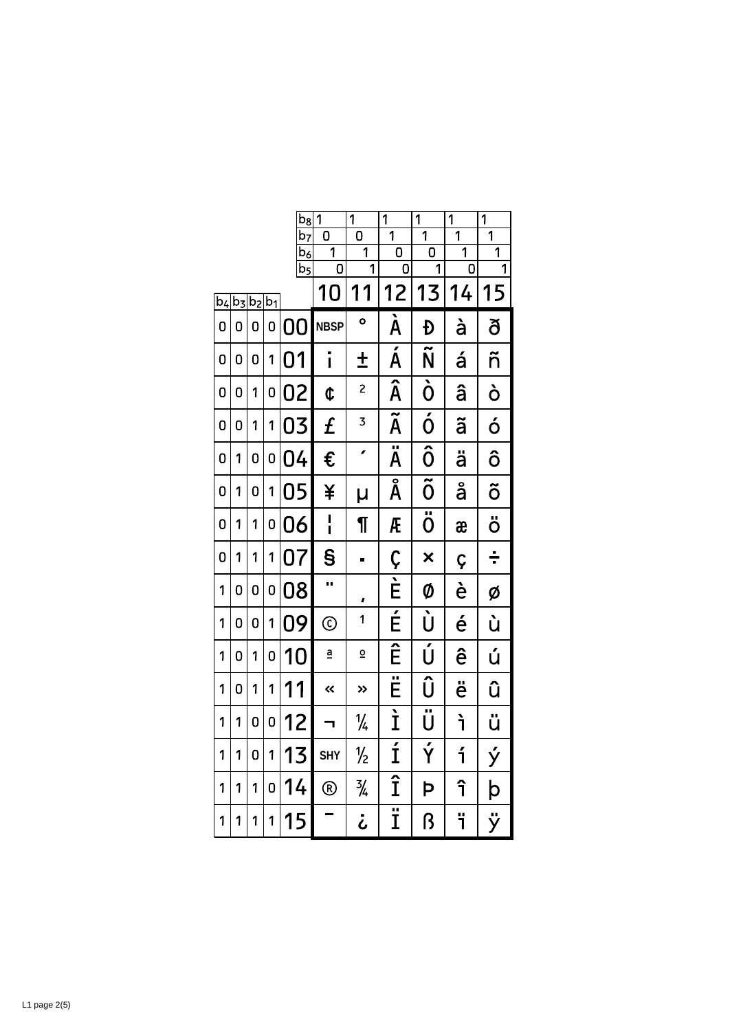|         |   |               |   | $b_8$                                 | 1                       | $\overline{1}$          | 1                                   | 1                               | $\overline{1}$                   | $\overline{1}$                   |
|---------|---|---------------|---|---------------------------------------|-------------------------|-------------------------|-------------------------------------|---------------------------------|----------------------------------|----------------------------------|
|         |   |               |   | b <sub>7</sub><br>.<br>b <sub>6</sub> | n<br>1                  | 0<br>$\overline{1}$     | $\overline{1}$<br>0                 | $\overline{1}$<br>0             | $\overline{1}$<br>$\overline{1}$ | $\overline{1}$<br>$\overline{1}$ |
|         |   |               |   | $\overline{b_5}$                      | 0                       | $\overline{1}$          | 0                                   | 1                               | 0                                | 1                                |
| $ b_4 $ |   | $b_3 b_2 b_1$ |   |                                       | 10                      | 11                      | 12                                  | 13                              | 14                               | 15                               |
| 0       | 0 | 0             | 0 | 0<br>O                                | <b>NBSP</b>             | $\bullet$               | $\overline{\mathbf{A}}$             | Đ                               | à                                | ð                                |
| 0       | 0 | 0             | 1 | 01                                    | $\mathbf{I}$            | $\ddagger$              | Á                                   | Ñ                               | á                                | ñ                                |
| 0       | 0 | 1             | 0 | 02                                    | ¢                       | $\overline{c}$          | Â                                   | $\dot{\mathbf{0}}$              | â                                | ò                                |
| 0       | 0 | 1             | 1 | 03                                    | £                       | 3                       | $\overline{\widetilde{\mathsf{A}}}$ | $\overline{\acute{0}}$          | ã                                | ó                                |
| 0       | 1 | 0             | 0 | 04                                    | €                       | ø                       | $\overline{\ddot{\mathsf{A}}}$      | $\overline{\hat{0}}$            | ä                                | ô                                |
| 0       | 1 | 0             | 1 | 05                                    | ¥                       | μ                       | Å                                   | $\overline{\mathbf{\tilde{0}}}$ | å                                | õ                                |
| 0       | 1 | 1             | 0 | 06                                    | $\mathbf{I}$            | ſ                       | Æ                                   | $\overline{\ddot{\textbf{0}}}$  | æ                                | ö                                |
| 0       | 1 | 1             | 1 | 07                                    | $\mathbf S$             | Ξ                       | Ç                                   | $\overline{\mathsf{x}}$         | Ç                                | ÷                                |
| 1       | 0 | 0             | 0 | 08                                    | Ω                       | ı                       | $\overline{E}$                      | Ø                               | è                                | Ø                                |
| 1       | 0 | 0             | 1 | 09                                    | $\odot$                 | 1                       | É                                   | Ù                               | é                                | ù                                |
| 1       | 0 | 1             | 0 | 10                                    | $\overline{\mathbf{a}}$ | $\overline{\mathsf{C}}$ | Ê                                   | Ú                               | ê                                | ú                                |
| 1       | 0 | 1             | 1 | 11                                    | «                       | $\rightarrow$           |                                     | Û                               | ë                                | û                                |
| 1       | 1 | 0             | 0 | 12                                    |                         | $\frac{1}{4}$           | $\overline{\mathbf{I}}$             | $\overline{\ddot{\text{U}}}$    | ŕ                                | ü                                |
| 1       | 1 | 0             | 1 | 13                                    | <b>SHY</b>              | ⅛                       | Í                                   | $\overline{\acute{\mathsf{Y}}}$ | í                                | ý                                |
| 1       | 1 | 1             | 0 | 14                                    | $^{\circledR}$          | $\frac{3}{4}$           | $\overline{\hat{1}}$                | Þ                               | î                                | þ                                |
| 1       | 1 | 1             | 1 | 15                                    |                         | ن                       | Ï                                   | ß                               | ï                                | ÿ                                |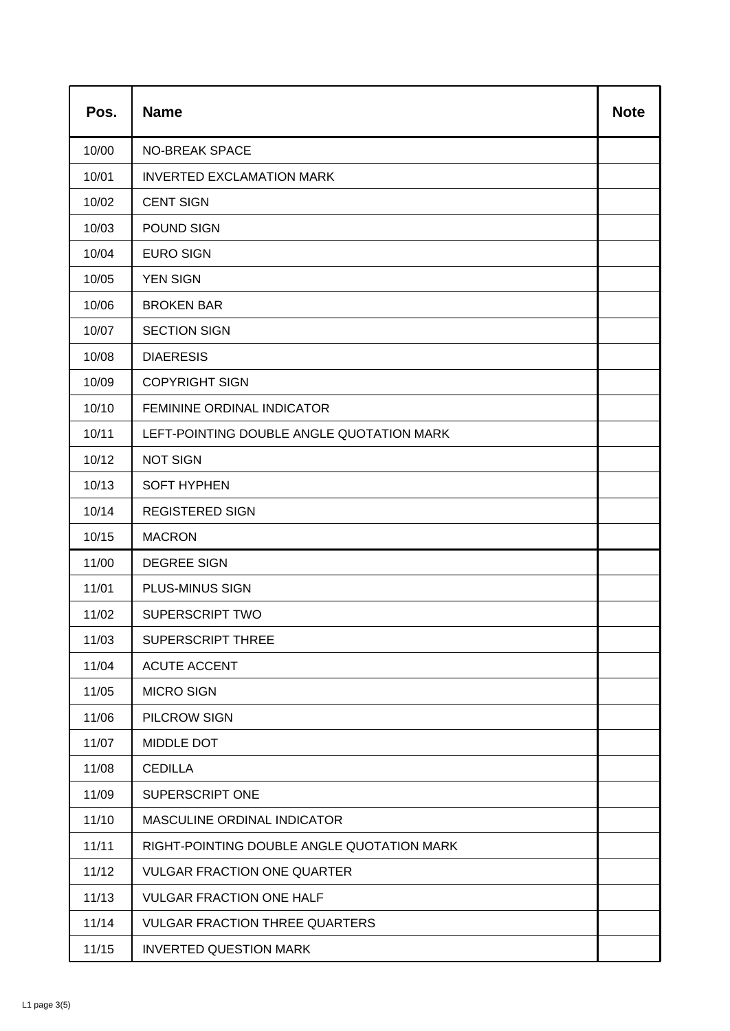| Pos.  | <b>Name</b>                                | <b>Note</b> |
|-------|--------------------------------------------|-------------|
| 10/00 | <b>NO-BREAK SPACE</b>                      |             |
| 10/01 | <b>INVERTED EXCLAMATION MARK</b>           |             |
| 10/02 | <b>CENT SIGN</b>                           |             |
| 10/03 | POUND SIGN                                 |             |
| 10/04 | <b>EURO SIGN</b>                           |             |
| 10/05 | <b>YEN SIGN</b>                            |             |
| 10/06 | <b>BROKEN BAR</b>                          |             |
| 10/07 | <b>SECTION SIGN</b>                        |             |
| 10/08 | <b>DIAERESIS</b>                           |             |
| 10/09 | <b>COPYRIGHT SIGN</b>                      |             |
| 10/10 | FEMININE ORDINAL INDICATOR                 |             |
| 10/11 | LEFT-POINTING DOUBLE ANGLE QUOTATION MARK  |             |
| 10/12 | <b>NOT SIGN</b>                            |             |
| 10/13 | <b>SOFT HYPHEN</b>                         |             |
| 10/14 | <b>REGISTERED SIGN</b>                     |             |
| 10/15 | <b>MACRON</b>                              |             |
| 11/00 | <b>DEGREE SIGN</b>                         |             |
| 11/01 | PLUS-MINUS SIGN                            |             |
| 11/02 | <b>SUPERSCRIPT TWO</b>                     |             |
| 11/03 | <b>SUPERSCRIPT THREE</b>                   |             |
| 11/04 | <b>ACUTE ACCENT</b>                        |             |
| 11/05 | <b>MICRO SIGN</b>                          |             |
| 11/06 | PILCROW SIGN                               |             |
| 11/07 | MIDDLE DOT                                 |             |
| 11/08 | <b>CEDILLA</b>                             |             |
| 11/09 | <b>SUPERSCRIPT ONE</b>                     |             |
| 11/10 | MASCULINE ORDINAL INDICATOR                |             |
| 11/11 | RIGHT-POINTING DOUBLE ANGLE QUOTATION MARK |             |
| 11/12 | <b>VULGAR FRACTION ONE QUARTER</b>         |             |
| 11/13 | <b>VULGAR FRACTION ONE HALF</b>            |             |
| 11/14 | <b>VULGAR FRACTION THREE QUARTERS</b>      |             |
| 11/15 | <b>INVERTED QUESTION MARK</b>              |             |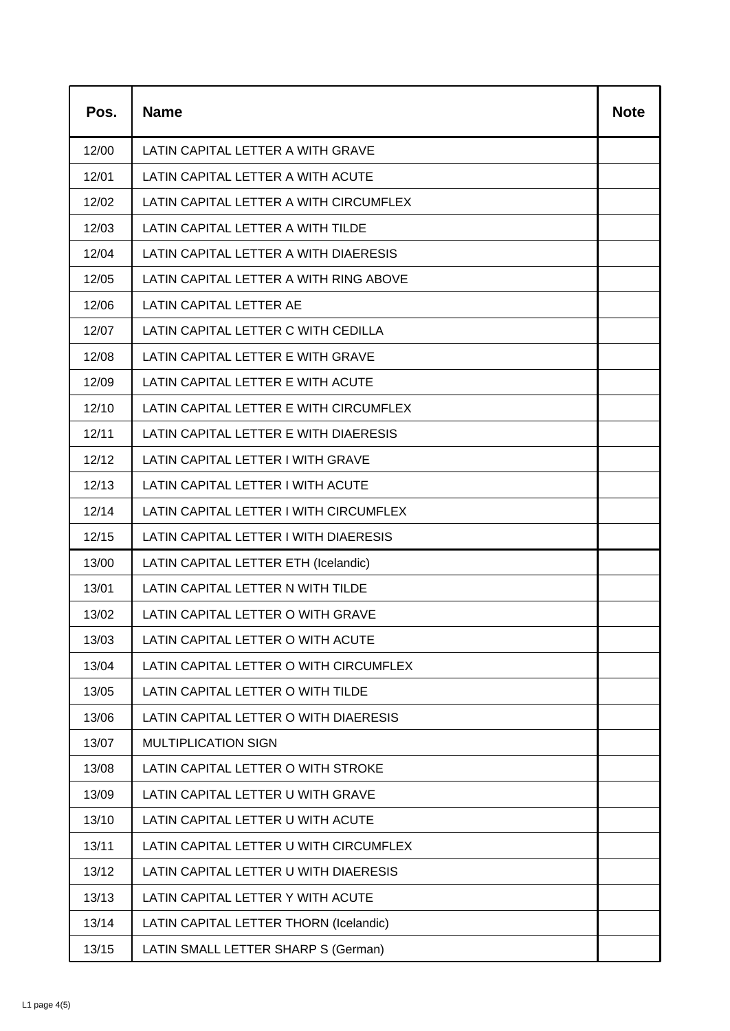| Pos.  | <b>Name</b>                            | <b>Note</b> |
|-------|----------------------------------------|-------------|
| 12/00 | LATIN CAPITAL LETTER A WITH GRAVE      |             |
| 12/01 | LATIN CAPITAL LETTER A WITH ACUTE      |             |
| 12/02 | LATIN CAPITAL LETTER A WITH CIRCUMFLEX |             |
| 12/03 | LATIN CAPITAL LETTER A WITH TILDE      |             |
| 12/04 | LATIN CAPITAL LETTER A WITH DIAERESIS  |             |
| 12/05 | LATIN CAPITAL LETTER A WITH RING ABOVE |             |
| 12/06 | LATIN CAPITAL LETTER AE                |             |
| 12/07 | LATIN CAPITAL LETTER C WITH CEDILLA    |             |
| 12/08 | LATIN CAPITAL LETTER E WITH GRAVE      |             |
| 12/09 | LATIN CAPITAL LETTER E WITH ACUTE      |             |
| 12/10 | LATIN CAPITAL LETTER E WITH CIRCUMFLEX |             |
| 12/11 | LATIN CAPITAL LETTER E WITH DIAERESIS  |             |
| 12/12 | LATIN CAPITAL LETTER I WITH GRAVE      |             |
| 12/13 | LATIN CAPITAL LETTER I WITH ACUTE      |             |
| 12/14 | LATIN CAPITAL LETTER I WITH CIRCUMFLEX |             |
| 12/15 | LATIN CAPITAL LETTER I WITH DIAERESIS  |             |
| 13/00 | LATIN CAPITAL LETTER ETH (Icelandic)   |             |
| 13/01 | LATIN CAPITAL LETTER N WITH TILDE      |             |
| 13/02 | LATIN CAPITAL LETTER O WITH GRAVE      |             |
| 13/03 | LATIN CAPITAL LETTER O WITH ACUTE      |             |
| 13/04 | LATIN CAPITAL LETTER O WITH CIRCUMFLEX |             |
| 13/05 | LATIN CAPITAL LETTER O WITH TILDE      |             |
| 13/06 | LATIN CAPITAL LETTER O WITH DIAERESIS  |             |
| 13/07 | <b>MULTIPLICATION SIGN</b>             |             |
| 13/08 | LATIN CAPITAL LETTER O WITH STROKE     |             |
| 13/09 | LATIN CAPITAL LETTER U WITH GRAVE      |             |
| 13/10 | LATIN CAPITAL LETTER U WITH ACUTE      |             |
| 13/11 | LATIN CAPITAL LETTER U WITH CIRCUMFLEX |             |
| 13/12 | LATIN CAPITAL LETTER U WITH DIAERESIS  |             |
| 13/13 | LATIN CAPITAL LETTER Y WITH ACUTE      |             |
| 13/14 | LATIN CAPITAL LETTER THORN (Icelandic) |             |
| 13/15 | LATIN SMALL LETTER SHARP S (German)    |             |